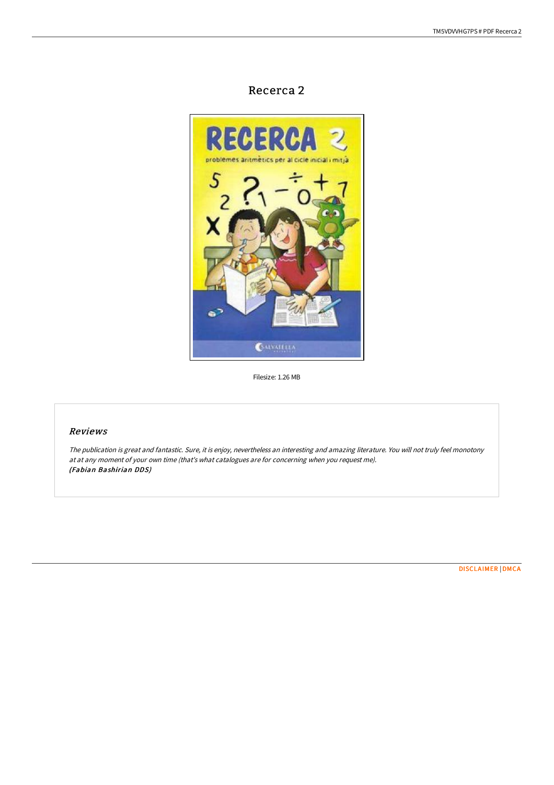# Recerca 2



Filesize: 1.26 MB

## Reviews

The publication is great and fantastic. Sure, it is enjoy, nevertheless an interesting and amazing literature. You will not truly feel monotony at at any moment of your own time (that's what catalogues are for concerning when you request me). (Fabian Bashirian DDS)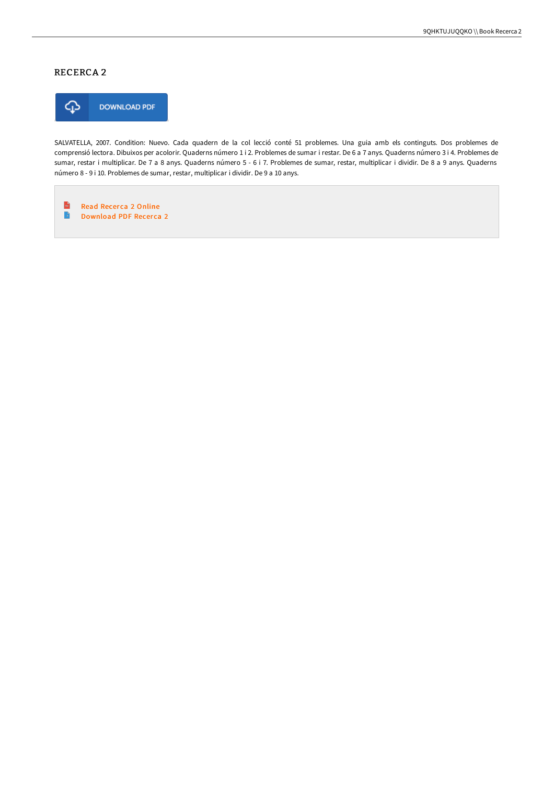## RECERCA 2



SALVATELLA, 2007. Condition: Nuevo. Cada quadern de la col lecció conté 51 problemes. Una guia amb els continguts. Dos problemes de comprensió lectora. Dibuixos per acolorir. Quaderns número 1 i 2. Problemes de sumar i restar. De 6 a 7 anys. Quaderns número 3 i 4. Problemes de sumar, restar i multiplicar. De 7 a 8 anys. Quaderns número 5 - 6 i 7. Problemes de sumar, restar, multiplicar i dividir. De 8 a 9 anys. Quaderns número 8 - 9 i 10. Problemes de sumar, restar, multiplicar i dividir. De 9 a 10 anys.

 $\frac{1}{100}$ Read Recerca 2 [Online](http://techno-pub.tech/recerca-2.html)  $\mathbf{B}$ [Download](http://techno-pub.tech/recerca-2.html) PDF Recerca 2